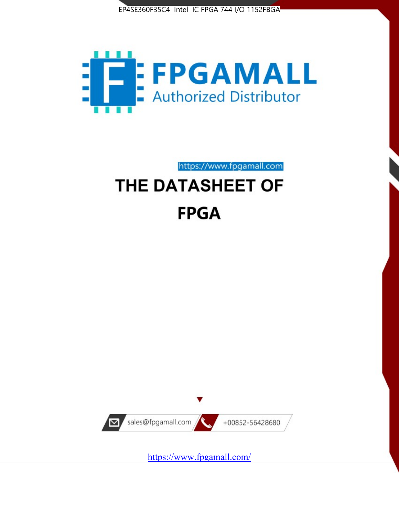



https://www.fpgamall.com

# THE DATASHEET OF **FPGA**



<https://www.fpgamall.com/>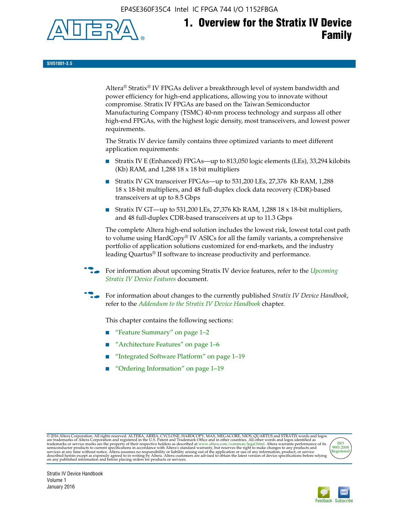EP4SE360F35C4 Intel IC FPGA 744 I/O 1152FBGA



**SIV51001-3.5**

Altera® Stratix® IV FPGAs deliver a breakthrough level of system bandwidth and power efficiency for high-end applications, allowing you to innovate without compromise. Stratix IV FPGAs are based on the Taiwan Semiconductor Manufacturing Company (TSMC) 40-nm process technology and surpass all other high-end FPGAs, with the highest logic density, most transceivers, and lowest power requirements.

The Stratix IV device family contains three optimized variants to meet different application requirements:

- Stratix IV E (Enhanced) FPGAs—up to 813,050 logic elements (LEs), 33,294 kilobits (Kb) RAM, and 1,288 18 x 18 bit multipliers
- Stratix IV GX transceiver FPGAs—up to 531,200 LEs, 27,376 Kb RAM, 1,288 18 x 18-bit multipliers, and 48 full-duplex clock data recovery (CDR)-based transceivers at up to 8.5 Gbps
- Stratix IV GT—up to 531,200 LEs, 27,376 Kb RAM, 1,288 18 x 18-bit multipliers, and 48 full-duplex CDR-based transceivers at up to 11.3 Gbps

The complete Altera high-end solution includes the lowest risk, lowest total cost path to volume using HardCopy® IV ASICs for all the family variants, a comprehensive portfolio of application solutions customized for end-markets, and the industry leading Quartus® II software to increase productivity and performance.

For information about upcoming Stratix IV device features, refer to the *Upcoming [Stratix IV Device Features](http://www.altera.com/literature/hb/stratix-iv/uf01001.pdf?GSA_pos=2&WT.oss_r=1&WT.oss=upcoming)* document.

f For information about changes to the currently published *Stratix IV Device Handbook*, refer to the *[Addendum to the Stratix IV Device Handbook](http://www.altera.com/literature/hb/stratix-iv/stx4_siv54002.pdf)* chapter.

This chapter contains the following sections:

- "Feature Summary" on page 1–2
- "Architecture Features" on page 1–6
- "Integrated Software Platform" on page 1–19
- "Ordering Information" on page 1–19

@2016 Altera Corporation. All rights reserved. ALTERA, ARRIA, CYCLONE, HARDCOPY, MAX, MEGACORE, NIOS, QUARTUS and STRATIX words and logos are trademarks of Altera Corporation and registered in the U.S. Patent and Trademark



Stratix IV Device Handbook Volume 1 January 2016

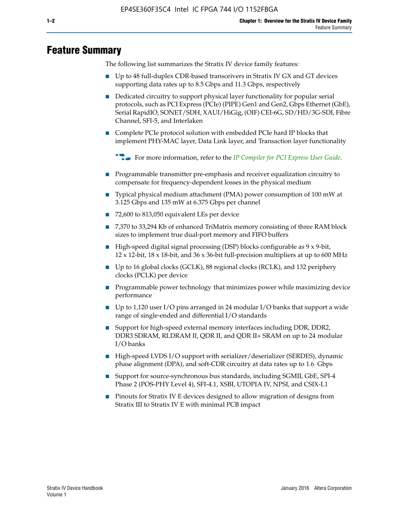# **Feature Summary**

The following list summarizes the Stratix IV device family features:

- Up to 48 full-duplex CDR-based transceivers in Stratix IV GX and GT devices supporting data rates up to 8.5 Gbps and 11.3 Gbps, respectively
- Dedicated circuitry to support physical layer functionality for popular serial protocols, such as PCI Express (PCIe) (PIPE) Gen1 and Gen2, Gbps Ethernet (GbE), Serial RapidIO, SONET/SDH, XAUI/HiGig, (OIF) CEI-6G, SD/HD/3G-SDI, Fibre Channel, SFI-5, and Interlaken
- Complete PCIe protocol solution with embedded PCIe hard IP blocks that implement PHY-MAC layer, Data Link layer, and Transaction layer functionality

**For more information, refer to the** *[IP Compiler for PCI Express User Guide](http://www.altera.com/literature/ug/ug_pci_express.pdf)***.** 

- Programmable transmitter pre-emphasis and receiver equalization circuitry to compensate for frequency-dependent losses in the physical medium
- Typical physical medium attachment (PMA) power consumption of 100 mW at 3.125 Gbps and 135 mW at 6.375 Gbps per channel
- 72,600 to 813,050 equivalent LEs per device
- 7,370 to 33,294 Kb of enhanced TriMatrix memory consisting of three RAM block sizes to implement true dual-port memory and FIFO buffers
- High-speed digital signal processing (DSP) blocks configurable as 9 x 9-bit,  $12 \times 12$ -bit,  $18 \times 18$ -bit, and  $36 \times 36$ -bit full-precision multipliers at up to 600 MHz
- Up to 16 global clocks (GCLK), 88 regional clocks (RCLK), and 132 periphery clocks (PCLK) per device
- Programmable power technology that minimizes power while maximizing device performance
- Up to 1,120 user I/O pins arranged in 24 modular I/O banks that support a wide range of single-ended and differential I/O standards
- Support for high-speed external memory interfaces including DDR, DDR2, DDR3 SDRAM, RLDRAM II, QDR II, and QDR II+ SRAM on up to 24 modular I/O banks
- High-speed LVDS I/O support with serializer/deserializer (SERDES), dynamic phase alignment (DPA), and soft-CDR circuitry at data rates up to 1.6 Gbps
- Support for source-synchronous bus standards, including SGMII, GbE, SPI-4 Phase 2 (POS-PHY Level 4), SFI-4.1, XSBI, UTOPIA IV, NPSI, and CSIX-L1
- Pinouts for Stratix IV E devices designed to allow migration of designs from Stratix III to Stratix IV E with minimal PCB impact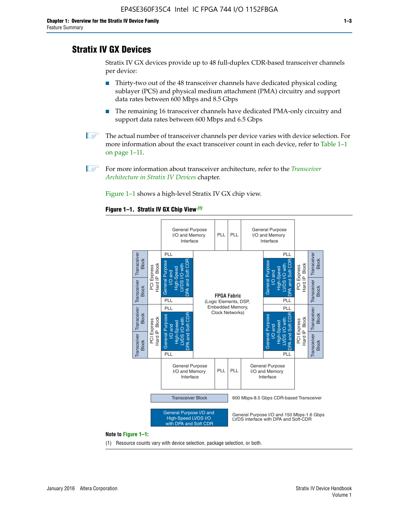# **Stratix IV GX Devices**

Stratix IV GX devices provide up to 48 full-duplex CDR-based transceiver channels per device:

- Thirty-two out of the 48 transceiver channels have dedicated physical coding sublayer (PCS) and physical medium attachment (PMA) circuitry and support data rates between 600 Mbps and 8.5 Gbps
- The remaining 16 transceiver channels have dedicated PMA-only circuitry and support data rates between 600 Mbps and 6.5 Gbps
- **1 The actual number of transceiver channels per device varies with device selection. For** more information about the exact transceiver count in each device, refer to Table 1–1 on page 1–11.
- 1 For more information about transceiver architecture, refer to the *[Transceiver](http://www.altera.com/literature/hb/stratix-iv/stx4_siv52001.pdf)  [Architecture in Stratix IV Devices](http://www.altera.com/literature/hb/stratix-iv/stx4_siv52001.pdf)* chapter.

Figure 1–1 shows a high-level Stratix IV GX chip view.

#### **Figure 1–1. Stratix IV GX Chip View** *(1)*



#### **Note to Figure 1–1:**

(1) Resource counts vary with device selection, package selection, or both.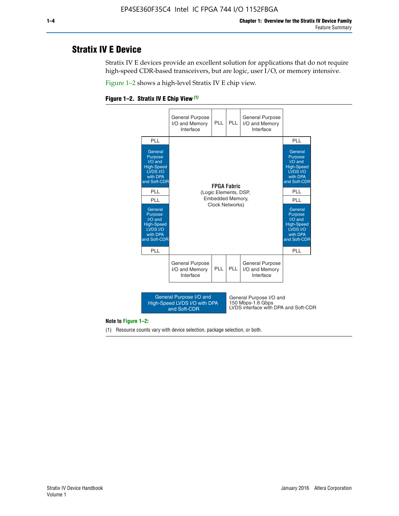# **Stratix IV E Device**

Stratix IV E devices provide an excellent solution for applications that do not require high-speed CDR-based transceivers, but are logic, user I/O, or memory intensive.

Figure 1–2 shows a high-level Stratix IV E chip view.

#### **Figure 1–2. Stratix IV E Chip View** *(1)*



#### **Note to Figure 1–2:**

(1) Resource counts vary with device selection, package selection, or both.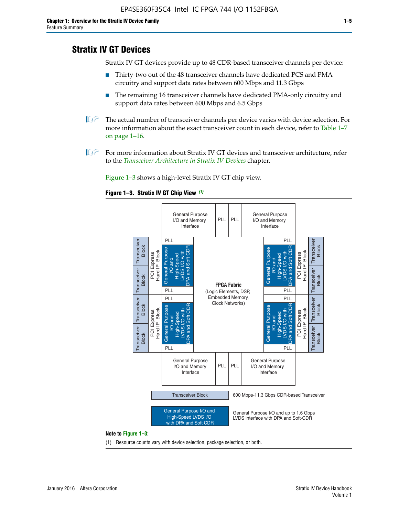# **Stratix IV GT Devices**

Stratix IV GT devices provide up to 48 CDR-based transceiver channels per device:

- Thirty-two out of the 48 transceiver channels have dedicated PCS and PMA circuitry and support data rates between 600 Mbps and 11.3 Gbps
- The remaining 16 transceiver channels have dedicated PMA-only circuitry and support data rates between 600 Mbps and 6.5 Gbps
- **1** The actual number of transceiver channels per device varies with device selection. For more information about the exact transceiver count in each device, refer to Table 1–7 on page 1–16.
- $\mathbb{I}$  For more information about Stratix IV GT devices and transceiver architecture, refer to the *[Transceiver Architecture in Stratix IV Devices](http://www.altera.com/literature/hb/stratix-iv/stx4_siv52001.pdf)* chapter.

Figure 1–3 shows a high-level Stratix IV GT chip view.

#### **Figure 1–3. Stratix IV GT Chip View** *(1)*



(1) Resource counts vary with device selection, package selection, or both.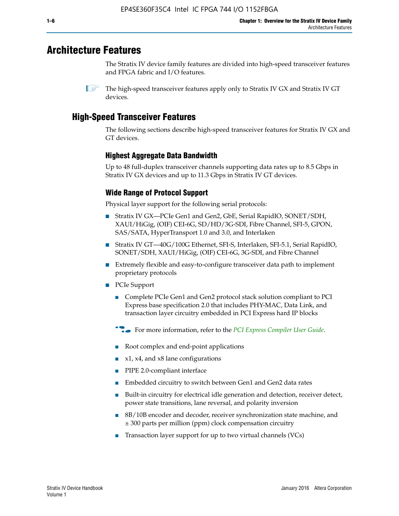# **Architecture Features**

The Stratix IV device family features are divided into high-speed transceiver features and FPGA fabric and I/O features.

# **High-Speed Transceiver Features**

The following sections describe high-speed transceiver features for Stratix IV GX and GT devices.

# **Highest Aggregate Data Bandwidth**

Up to 48 full-duplex transceiver channels supporting data rates up to 8.5 Gbps in Stratix IV GX devices and up to 11.3 Gbps in Stratix IV GT devices.

# **Wide Range of Protocol Support**

Physical layer support for the following serial protocols:

- Stratix IV GX—PCIe Gen1 and Gen2, GbE, Serial RapidIO, SONET/SDH, XAUI/HiGig, (OIF) CEI-6G, SD/HD/3G-SDI, Fibre Channel, SFI-5, GPON, SAS/SATA, HyperTransport 1.0 and 3.0, and Interlaken
- Stratix IV GT—40G/100G Ethernet, SFI-S, Interlaken, SFI-5.1, Serial RapidIO, SONET/SDH, XAUI/HiGig, (OIF) CEI-6G, 3G-SDI, and Fibre Channel
- Extremely flexible and easy-to-configure transceiver data path to implement proprietary protocols
- PCIe Support
	- Complete PCIe Gen1 and Gen2 protocol stack solution compliant to PCI Express base specification 2.0 that includes PHY-MAC, Data Link, and transaction layer circuitry embedded in PCI Express hard IP blocks
	- **For more information, refer to the [PCI Express Compiler User Guide](http://www.altera.com/literature/ug/ug_pci_express.pdf).**
	- Root complex and end-point applications
	- $x1, x4,$  and  $x8$  lane configurations
	- PIPE 2.0-compliant interface
	- Embedded circuitry to switch between Gen1 and Gen2 data rates
	- Built-in circuitry for electrical idle generation and detection, receiver detect, power state transitions, lane reversal, and polarity inversion
	- 8B/10B encoder and decoder, receiver synchronization state machine, and ± 300 parts per million (ppm) clock compensation circuitry
	- Transaction layer support for up to two virtual channels (VCs)

 $\mathbb{I}$  The high-speed transceiver features apply only to Stratix IV GX and Stratix IV GT devices.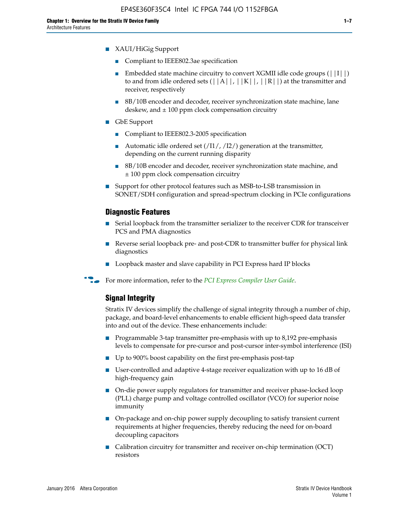- XAUI/HiGig Support
	- Compliant to IEEE802.3ae specification
	- **■** Embedded state machine circuitry to convert XGMII idle code groups  $(|11|)$ to and from idle ordered sets  $(|A|, |K|, |R|)$  at the transmitter and receiver, respectively
	- 8B/10B encoder and decoder, receiver synchronization state machine, lane deskew, and  $\pm 100$  ppm clock compensation circuitry
- GbE Support
	- Compliant to IEEE802.3-2005 specification
	- Automatic idle ordered set  $(111/112/1)$  generation at the transmitter, depending on the current running disparity
	- 8B/10B encoder and decoder, receiver synchronization state machine, and ± 100 ppm clock compensation circuitry
- Support for other protocol features such as MSB-to-LSB transmission in SONET/SDH configuration and spread-spectrum clocking in PCIe configurations

#### **Diagnostic Features**

- Serial loopback from the transmitter serializer to the receiver CDR for transceiver PCS and PMA diagnostics
- Reverse serial loopback pre- and post-CDR to transmitter buffer for physical link diagnostics
- Loopback master and slave capability in PCI Express hard IP blocks
- **For more information, refer to the** *[PCI Express Compiler User Guide](http://www.altera.com/literature/ug/ug_pci_express.pdf)***.**

#### **Signal Integrity**

Stratix IV devices simplify the challenge of signal integrity through a number of chip, package, and board-level enhancements to enable efficient high-speed data transfer into and out of the device. These enhancements include:

- Programmable 3-tap transmitter pre-emphasis with up to 8,192 pre-emphasis levels to compensate for pre-cursor and post-cursor inter-symbol interference (ISI)
- Up to 900% boost capability on the first pre-emphasis post-tap
- User-controlled and adaptive 4-stage receiver equalization with up to 16 dB of high-frequency gain
- On-die power supply regulators for transmitter and receiver phase-locked loop (PLL) charge pump and voltage controlled oscillator (VCO) for superior noise immunity
- On-package and on-chip power supply decoupling to satisfy transient current requirements at higher frequencies, thereby reducing the need for on-board decoupling capacitors
- Calibration circuitry for transmitter and receiver on-chip termination (OCT) resistors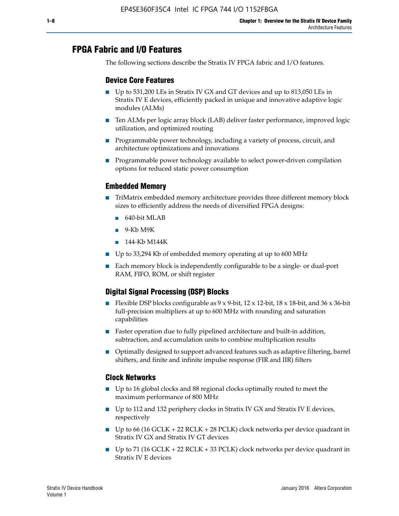# **FPGA Fabric and I/O Features**

The following sections describe the Stratix IV FPGA fabric and I/O features.

## **Device Core Features**

- Up to 531,200 LEs in Stratix IV GX and GT devices and up to 813,050 LEs in Stratix IV E devices, efficiently packed in unique and innovative adaptive logic modules (ALMs)
- Ten ALMs per logic array block (LAB) deliver faster performance, improved logic utilization, and optimized routing
- Programmable power technology, including a variety of process, circuit, and architecture optimizations and innovations
- Programmable power technology available to select power-driven compilation options for reduced static power consumption

## **Embedded Memory**

- TriMatrix embedded memory architecture provides three different memory block sizes to efficiently address the needs of diversified FPGA designs:
	- 640-bit MLAB
	- 9-Kb M9K
	- 144-Kb M144K
- Up to 33,294 Kb of embedded memory operating at up to 600 MHz
- Each memory block is independently configurable to be a single- or dual-port RAM, FIFO, ROM, or shift register

## **Digital Signal Processing (DSP) Blocks**

- Flexible DSP blocks configurable as  $9 \times 9$ -bit,  $12 \times 12$ -bit,  $18 \times 18$ -bit, and  $36 \times 36$ -bit full-precision multipliers at up to 600 MHz with rounding and saturation capabilities
- Faster operation due to fully pipelined architecture and built-in addition, subtraction, and accumulation units to combine multiplication results
- Optimally designed to support advanced features such as adaptive filtering, barrel shifters, and finite and infinite impulse response (FIR and IIR) filters

## **Clock Networks**

- Up to 16 global clocks and 88 regional clocks optimally routed to meet the maximum performance of 800 MHz
- Up to 112 and 132 periphery clocks in Stratix IV GX and Stratix IV E devices, respectively
- Up to 66 (16 GCLK + 22 RCLK + 28 PCLK) clock networks per device quadrant in Stratix IV GX and Stratix IV GT devices
- Up to 71 (16 GCLK + 22 RCLK + 33 PCLK) clock networks per device quadrant in Stratix IV E devices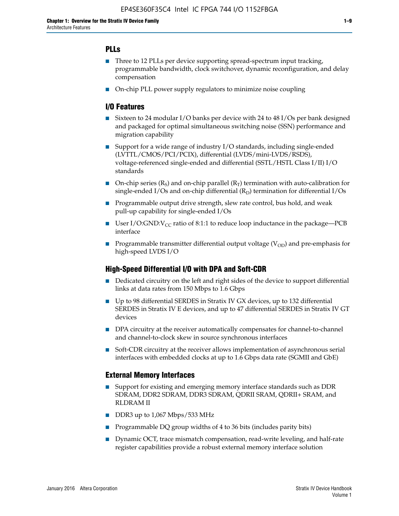## **PLLs**

- Three to 12 PLLs per device supporting spread-spectrum input tracking, programmable bandwidth, clock switchover, dynamic reconfiguration, and delay compensation
- On-chip PLL power supply regulators to minimize noise coupling

### **I/O Features**

- Sixteen to 24 modular I/O banks per device with 24 to 48 I/Os per bank designed and packaged for optimal simultaneous switching noise (SSN) performance and migration capability
- Support for a wide range of industry I/O standards, including single-ended (LVTTL/CMOS/PCI/PCIX), differential (LVDS/mini-LVDS/RSDS), voltage-referenced single-ended and differential (SSTL/HSTL Class I/II) I/O standards
- **O**n-chip series  $(R_S)$  and on-chip parallel  $(R_T)$  termination with auto-calibration for single-ended I/Os and on-chip differential  $(R_D)$  termination for differential I/Os
- Programmable output drive strength, slew rate control, bus hold, and weak pull-up capability for single-ended I/Os
- User I/O:GND: $V_{CC}$  ratio of 8:1:1 to reduce loop inductance in the package—PCB interface
- **■** Programmable transmitter differential output voltage ( $V_{OD}$ ) and pre-emphasis for high-speed LVDS I/O

#### **High-Speed Differential I/O with DPA and Soft-CDR**

- Dedicated circuitry on the left and right sides of the device to support differential links at data rates from 150 Mbps to 1.6 Gbps
- Up to 98 differential SERDES in Stratix IV GX devices, up to 132 differential SERDES in Stratix IV E devices, and up to 47 differential SERDES in Stratix IV GT devices
- DPA circuitry at the receiver automatically compensates for channel-to-channel and channel-to-clock skew in source synchronous interfaces
- Soft-CDR circuitry at the receiver allows implementation of asynchronous serial interfaces with embedded clocks at up to 1.6 Gbps data rate (SGMII and GbE)

#### **External Memory Interfaces**

- Support for existing and emerging memory interface standards such as DDR SDRAM, DDR2 SDRAM, DDR3 SDRAM, QDRII SRAM, QDRII+ SRAM, and RLDRAM II
- DDR3 up to 1,067 Mbps/533 MHz
- Programmable DQ group widths of 4 to 36 bits (includes parity bits)
- Dynamic OCT, trace mismatch compensation, read-write leveling, and half-rate register capabilities provide a robust external memory interface solution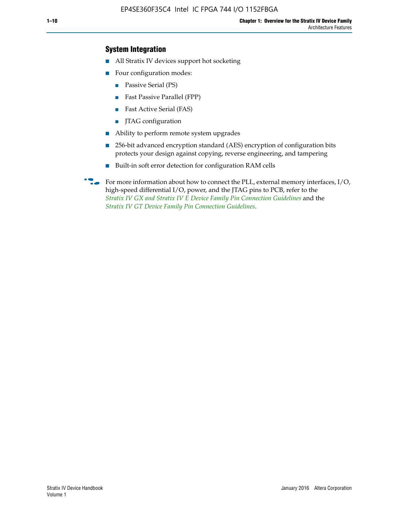## **System Integration**

- All Stratix IV devices support hot socketing
- Four configuration modes:
	- Passive Serial (PS)
	- Fast Passive Parallel (FPP)
	- Fast Active Serial (FAS)
	- JTAG configuration
- Ability to perform remote system upgrades
- 256-bit advanced encryption standard (AES) encryption of configuration bits protects your design against copying, reverse engineering, and tampering
- Built-in soft error detection for configuration RAM cells
- For more information about how to connect the PLL, external memory interfaces,  $I/O$ , high-speed differential I/O, power, and the JTAG pins to PCB, refer to the *[Stratix IV GX and Stratix IV E Device Family Pin Connection Guidelines](http://www.altera.com/literature/dp/stratix4/PCG-01005.pdf)* and the *[Stratix IV GT Device Family Pin Connection Guidelines](http://www.altera.com/literature/dp/stratix4/PCG-01006.pdf)*.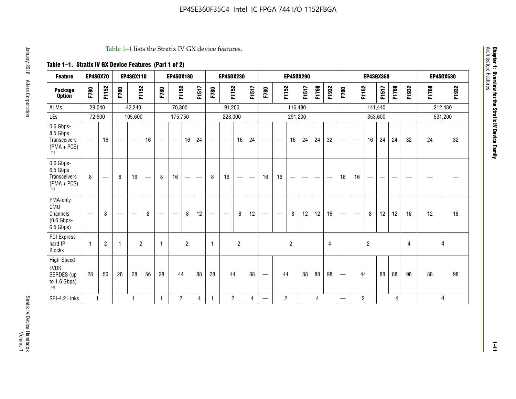#### Table 1–1 lists the Stratix IV GX device features.

# **Table 1–1. Stratix IV GX Device Features (Part 1 of 2)**

| <b>Feature</b>                                                | EP4SGX70                       |                |                   | <b>EP4SGX110</b>  |    |                                | <b>EP4SGX180</b>               |                |       |              | <b>EP4SGX230</b>              |                |                               |                                |                | <b>EP4SGX290</b> |       |       |       |                          |                   |                | <b>EP4SGX360</b> |       |       |       | <b>EP4SGX530</b> |
|---------------------------------------------------------------|--------------------------------|----------------|-------------------|-------------------|----|--------------------------------|--------------------------------|----------------|-------|--------------|-------------------------------|----------------|-------------------------------|--------------------------------|----------------|------------------|-------|-------|-------|--------------------------|-------------------|----------------|------------------|-------|-------|-------|------------------|
| <b>Package</b><br><b>Option</b>                               | F780                           | F1152          | F780              | F1152             |    | F780                           | F1152                          |                | F1517 | F780         | F1152                         |                | F1517                         | F780                           | F1152          |                  | F1517 | F1760 | F1932 | F780                     | F1152             |                | F1517            | F1760 | F1932 | F1760 | F1932            |
| <b>ALMs</b>                                                   | 29,040                         |                |                   | 42,240            |    |                                | 70,300                         |                |       |              | 91,200                        |                |                               |                                |                | 116,480          |       |       |       |                          |                   |                | 141,440          |       |       |       | 212,480          |
| LEs                                                           | 72,600                         |                |                   | 105,600           |    |                                | 175,750                        |                |       |              | 228,000                       |                |                               |                                |                | 291,200          |       |       |       |                          |                   | 353,600        |                  |       |       |       | 531,200          |
| 0.6 Gbps-<br>8.5 Gbps<br>Transceivers<br>$(PMA + PCs)$<br>(1) |                                | 16             | $\hspace{0.05cm}$ | $\hspace{0.05cm}$ | 16 | $\qquad \qquad \longleftarrow$ | $\hspace{0.05cm}$              | 16             | 24    |              | $\overbrace{\phantom{aaaaa}}$ | 16             | 24                            | —                              |                | 16               | 24    | 24    | 32    | $\overline{\phantom{0}}$ | $\hspace{0.05cm}$ | 16             | 24               | 24    | 32    | 24    | 32               |
| 0.6 Gbps-<br>6.5 Gbps<br>Transceivers<br>$(PMA + PCS)$<br>(1) | 8                              |                | 8                 | 16                | —  | 8                              | 16                             | -              | —     | 8            | 16                            | —              | $\overbrace{\phantom{aaaaa}}$ | 16                             | 16             |                  |       |       |       | 16                       | 16                |                |                  |       |       |       |                  |
| PMA-only<br>CMU<br>Channels<br>$(0.6$ Gbps-<br>6.5 Gbps)      | $\qquad \qquad \longleftarrow$ | 8              | $\hspace{0.05cm}$ |                   | 8  | $\qquad \qquad \longleftarrow$ | $\qquad \qquad \longleftarrow$ | 8              | 12    | -            | $\overline{\phantom{a}}$      | 8              | 12                            | $\qquad \qquad \longleftarrow$ |                | 8                | 12    | 12    | 16    |                          | $\hspace{0.05cm}$ | 8              | 12               | 12    | 16    | 12    | 16               |
| PCI Express<br>hard IP<br><b>Blocks</b>                       | $\mathbf{1}$                   | $\overline{2}$ | -1                | $\overline{2}$    |    | 1                              |                                | $\overline{2}$ |       | $\mathbf{1}$ |                               | $\overline{c}$ |                               |                                |                | $\overline{c}$   |       |       | 4     |                          |                   | $\overline{2}$ |                  |       | 4     |       | 4                |
| High-Speed<br>LVDS<br>SERDES (up<br>to 1.6 Gbps)<br>(4)       | 28                             | 56             | 28                | 28                | 56 | 28                             | 44                             |                | 88    | 28           | 44                            |                | 88                            | —                              | 44             |                  | 88    | 88    | 98    |                          | 44                |                | 88               | 88    | 98    | 88    | 98               |
| SPI-4.2 Links                                                 | $\mathbf{1}$                   |                |                   | 1                 |    | $\mathbf{1}$                   | $\overline{c}$                 |                | 4     | $\mathbf{1}$ | $\overline{c}$                |                | $\overline{4}$                | —                              | $\overline{2}$ |                  |       | 4     |       | $\overline{\phantom{0}}$ | $\overline{2}$    |                |                  | 4     |       |       | 4                |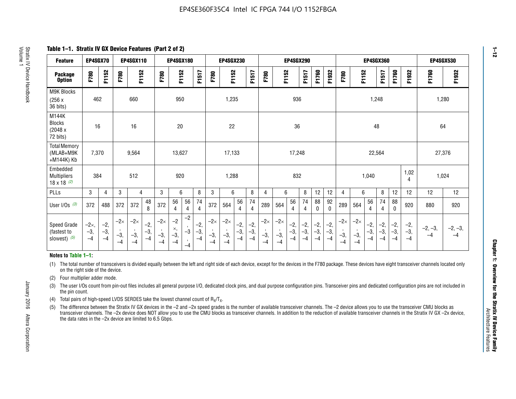**Table 1–1. Stratix IV GX Device Features (Part 2 of 2)**

| <b>Feature</b>                                       | EP4SGX70                |                        |                             | <b>EP4SGX110</b>            |                      |                             | <b>EP4SGX180</b>          |                      |                        |                             | <b>EP4SGX230</b>            |                      |                        |                             |                             | <b>EP4SGX290</b>       |                      |                        |                      | <b>EP4SGX360</b>            |                             |                        | <b>EP4SGX530</b>       |                        |                        |                   |                   |
|------------------------------------------------------|-------------------------|------------------------|-----------------------------|-----------------------------|----------------------|-----------------------------|---------------------------|----------------------|------------------------|-----------------------------|-----------------------------|----------------------|------------------------|-----------------------------|-----------------------------|------------------------|----------------------|------------------------|----------------------|-----------------------------|-----------------------------|------------------------|------------------------|------------------------|------------------------|-------------------|-------------------|
| <b>Package</b><br><b>Option</b>                      | F780                    | F1152                  | F780                        | F1152                       |                      | F780                        | F1152                     |                      | F1517                  | F780                        | F1152                       |                      | F1517                  | F780                        | F1152                       |                        | F1517                | F1760                  | F1932                | F780                        | F1152                       |                        | F1517                  | F1760                  | F1932                  | F1760             | F1932             |
| M9K Blocks<br>(256x)<br>36 bits)                     | 462                     |                        |                             | 660                         |                      |                             | 950                       |                      |                        |                             | 1,235                       |                      |                        |                             |                             | 936                    |                      |                        |                      |                             |                             | 1,248                  |                        |                        |                        | 1,280             |                   |
| M144K<br>Blocks<br>(2048 x<br>72 bits)               | 16                      |                        |                             | 16                          |                      |                             | 20                        |                      |                        |                             | 22                          |                      |                        |                             |                             | 36                     |                      |                        |                      |                             |                             | 48                     |                        |                        |                        | 64                |                   |
| <b>Total Memory</b><br>(MLAB+M9K<br>+M144K) Kb       | 7,370                   |                        |                             | 9,564                       |                      |                             | 13,627                    |                      |                        |                             | 17,133                      |                      |                        |                             |                             | 17,248                 |                      |                        |                      |                             |                             | 22,564                 |                        |                        |                        | 27,376            |                   |
| Embedded<br><b>Multipliers</b><br>$18 \times 18$ (2) | 384                     |                        |                             | 512                         |                      |                             | 920                       |                      |                        |                             | 1,288                       |                      |                        |                             |                             | 832                    |                      |                        |                      |                             |                             | 1,040                  |                        |                        | 1,02<br>4              | 1,024             |                   |
| PLLs                                                 | 3                       | 4                      | 3                           | 4                           |                      | 3                           | 6                         |                      | 8                      | 3                           | 6                           |                      | 8                      | $\overline{4}$              | 6                           |                        | 8                    | 12                     | 12                   | 4                           | 6                           |                        | 8                      | 12                     | 12                     | 12                | 12                |
| User I/Os $(3)$                                      | 372                     | 488                    | 372                         | 372                         | 48<br>8              | 372                         | 56<br>4                   | 56<br>4              | 74<br>4                | 372                         | 564                         | 56<br>4              | 74<br>$\overline{4}$   | 289                         | 564                         | 56<br>4                | 74<br>4              | 88<br>0                | 92<br>$\mathbf{0}$   | 289                         | 564                         | 56<br>4                | 74<br>4                | 88<br>0                | 920                    | 880               | 920               |
| Speed Grade<br>(fastest to<br>slowest) (5)           | $-2x,$<br>$-3,$<br>$-4$ | $-2,$<br>$-3,$<br>$-4$ | $-2\times$<br>$-3,$<br>$-4$ | $-2\times$<br>$-3,$<br>$-4$ | $-2,$<br>-3,<br>$-4$ | $-2\times$<br>$-3,$<br>$-4$ | $-2$<br>×,<br>$-3,$<br>-4 | $-2$<br>$-3$<br>$-4$ | $-2,$<br>$-3,$<br>$-4$ | $-2\times$<br>$-3,$<br>$-4$ | $-2\times$<br>$-3,$<br>$-4$ | $-2,$<br>-3,<br>$-4$ | $-2,$<br>$-3,$<br>$-4$ | $-2\times$<br>$-3,$<br>$-4$ | $-2\times$<br>$-3,$<br>$-4$ | $-2,$<br>$-3,$<br>$-4$ | $-2,$<br>-3,<br>$-4$ | $-2,$<br>$-3,$<br>$-4$ | $-2,$<br>-3,<br>$-4$ | $-2\times$<br>$-3,$<br>$-4$ | $-2\times$<br>$-3,$<br>$-4$ | $-2,$<br>$-3,$<br>$-4$ | $-2,$<br>$-3,$<br>$-4$ | $-2,$<br>$-3,$<br>$-4$ | $-2,$<br>$-3,$<br>$-4$ | $-2, -3,$<br>$-4$ | $-2, -3,$<br>$-4$ |

#### **Notes to Table 1–1:**

(1) The total number of transceivers is divided equally between the left and right side of each device, except for the devices in the F780 package. These devices have eight transceiver channels located only on the right side of the device.

- (2) Four multiplier adder mode.
- (3) The user I/Os count from pin-out files includes all general purpose I/O, dedicated clock pins, and dual purpose configuration pins. Transceiver pins and dedicated configuration pins are not included in the pin count.
- (4) Total pairs of high-speed LVDS SERDES take the lowest channel count of  $R_X/T_X$ .
- (5) The difference between the Stratix IV GX devices in the –2 and –2x speed grades is the number of available transceiver channels. The –2 device allows you to use the transceiver CMU blocks as transceiver channels. The –2x device does NOT allow you to use the CMU blocks as transceiver channels. In addition to the reduction of available transceiver channels in the Stratix IV GX –2x device, the data rates in the –2x device are limited to 6.5 Gbps.

January 2016 Altera Corporation

Altera Corporation

January 2016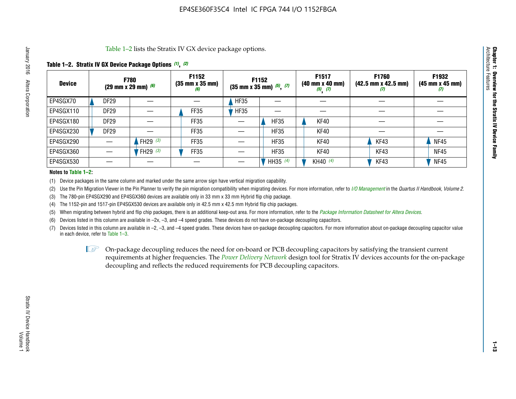Table 1–2 lists the Stratix IV GX device package options.

#### **Table 1–2. Stratix IV GX Device Package Options** *(1)***,** *(2)*

| <b>Device</b> |                  | <b>F780</b><br>(29 mm x 29 mm) $(6)$ | F1152<br>$(35 \, \text{mm} \times 35 \, \text{mm})$<br>(6) |             | <b>F1152</b><br>$(35 \text{ mm} \times 35 \text{ mm})$ $(5)$ , $(7)$ | F1517<br>(40 mm x 40 mm)<br>$(5)$ $(7)$ | <b>F1760</b><br>$(42.5 \text{ mm} \times 42.5 \text{ mm})$<br>(I) | F1932<br>$(45 \, \text{mm} \times 45 \, \text{mm})$<br>(7) |
|---------------|------------------|--------------------------------------|------------------------------------------------------------|-------------|----------------------------------------------------------------------|-----------------------------------------|-------------------------------------------------------------------|------------------------------------------------------------|
| EP4SGX70      | <b>DF29</b>      |                                      |                                                            | <b>HF35</b> |                                                                      |                                         |                                                                   |                                                            |
| EP4SGX110     | <b>DF29</b>      |                                      | FF35                                                       | <b>HF35</b> |                                                                      |                                         |                                                                   |                                                            |
| EP4SGX180     | DF <sub>29</sub> |                                      | FF35                                                       |             | <b>HF35</b>                                                          | KF40                                    |                                                                   |                                                            |
| EP4SGX230     | DF <sub>29</sub> |                                      | FF35                                                       |             | <b>HF35</b>                                                          | KF40                                    |                                                                   |                                                            |
| EP4SGX290     |                  | FH29 $(3)$                           | FF35                                                       |             | <b>HF35</b>                                                          | KF40                                    | KF43                                                              | <b>NF45</b>                                                |
| EP4SGX360     |                  | FH29 (3)                             | FF35                                                       |             | <b>HF35</b>                                                          | KF40                                    | KF43                                                              | <b>NF45</b>                                                |
| EP4SGX530     |                  |                                      |                                                            |             | HH35 $(4)$                                                           | KH40 (4)                                | KF43                                                              | <b>NF45</b>                                                |

#### **Notes to Table 1–2:**

(1) Device packages in the same column and marked under the same arrow sign have vertical migration capability.

(2) Use the Pin Migration Viewer in the Pin Planner to verify the pin migration compatibility when migrating devices. For more information, refer to *[I/O Management](http://www.altera.com/literature/hb/qts/qts_qii52013.pdf)* in the *Quartus II Handbook, Volume 2*.

(3) The 780-pin EP4SGX290 and EP4SGX360 devices are available only in 33 mm x 33 mm Hybrid flip chip package.

(4) The 1152-pin and 1517-pin EP4SGX530 devices are available only in 42.5 mm x 42.5 mm Hybrid flip chip packages.

(5) When migrating between hybrid and flip chip packages, there is an additional keep-out area. For more information, refer to the *[Package Information Datasheet for Altera Devices](http://www.altera.com/literature/ds/dspkg.pdf)*.

(6) Devices listed in this column are available in –2x, –3, and –4 speed grades. These devices do not have on-package decoupling capacitors.

(7) Devices listed in this column are available in –2, –3, and –4 speed grades. These devices have on-package decoupling capacitors. For more information about on-package decoupling capacitor value in each device, refer to Table 1–3.

 $\mathbb{L}$ s On-package decoupling reduces the need for on-board or PCB decoupling capacitors by satisfying the transient current requirements at higher frequencies. The *[Power Delivery Network](http://www.altera.com/literature/ug/pdn_tool_stxiv.zip)* design tool for Stratix IV devices accounts for the on-package decoupling and reflects the reduced requirements for PCB decoupling capacitors.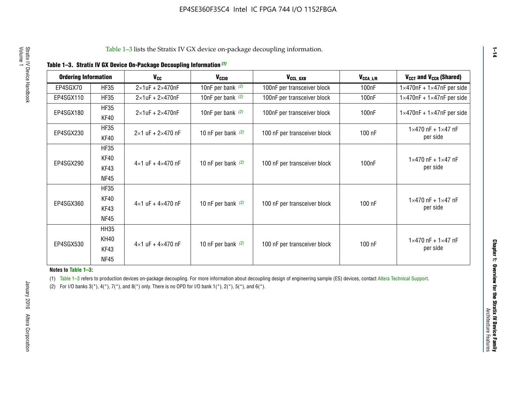| <b>Ordering Information</b> |                     | $V_{cc}$                            | V <sub>CCIO</sub>    | V <sub>CCL_GXB</sub>         | $V_{\texttt{CCA}\_\textsf{L/R}}$ | V <sub>CCT</sub> and V <sub>CCR</sub> (Shared)   |
|-----------------------------|---------------------|-------------------------------------|----------------------|------------------------------|----------------------------------|--------------------------------------------------|
| EP4SGX70                    | <b>HF35</b>         | $2\times1$ uF + $2\times470$ nF     | 10nF per bank $(2)$  | 100nF per transceiver block  | 100 <sub>n</sub> F               | $1\times470$ nF + $1\times47$ nF per side        |
| EP4SGX110                   | <b>HF35</b>         | $2\times1$ uF + $2\times470$ nF     | 10nF per bank $(2)$  | 100nF per transceiver block  | 100 <sub>n</sub> F               | $1\times470$ nF + $1\times47$ nF per side        |
| EP4SGX180                   | <b>HF35</b><br>KF40 | $2\times1$ uF + $2\times470$ nF     | 10nF per bank $(2)$  | 100nF per transceiver block  | 100 <sub>n</sub> F               | $1\times470$ nF + $1\times47$ nF per side        |
| EP4SGX230                   | <b>HF35</b><br>KF40 | $2 \times 1$ uF + $2 \times 470$ nF | 10 nF per bank $(2)$ | 100 nF per transceiver block | 100 nF                           | $1 \times 470$ nF + $1 \times 47$ nF<br>per side |
|                             | <b>HF35</b>         |                                     |                      |                              |                                  |                                                  |
| EP4SGX290                   | KF40<br>KF43        | $4\times1$ uF + $4\times470$ nF     | 10 nF per bank $(2)$ | 100 nF per transceiver block | 100 <sub>n</sub> F               | $1 \times 470$ nF + $1 \times 47$ nF<br>per side |
|                             | <b>NF45</b>         |                                     |                      |                              |                                  |                                                  |
|                             | <b>HF35</b>         |                                     |                      |                              |                                  |                                                  |
| EP4SGX360                   | KF40                | $4 \times 1$ uF + $4 \times 470$ nF | 10 nF per bank $(2)$ | 100 nF per transceiver block | 100 nF                           | $1 \times 470$ nF + $1 \times 47$ nF             |
|                             | KF43                |                                     |                      |                              |                                  | per side                                         |
|                             | <b>NF45</b>         |                                     |                      |                              |                                  |                                                  |
|                             | <b>HH35</b>         |                                     |                      |                              |                                  |                                                  |
| EP4SGX530                   | KH40                |                                     |                      |                              |                                  | $1 \times 470$ nF + $1 \times 47$ nF             |
|                             | KF43                | $4\times1$ uF + $4\times470$ nF     | 10 nF per bank $(2)$ | 100 nF per transceiver block | 100 nF                           | per side                                         |
|                             | <b>NF45</b>         |                                     |                      |                              |                                  |                                                  |

**Notes to Table 1–3:**

(1) Table 1-3 refers to production devices on-package decoupling. For more information about decoupling design of engineering sample (ES) devices, contact [Altera Technical Support](http://mysupport.altera.com/eservice/login.asp).

(2) For I/O banks  $3(*)$ ,  $4(*)$ ,  $7(*)$ , and  $8(*)$  only. There is no OPD for I/O bank  $1(*)$ ,  $2(*)$ ,  $5(*)$ , and  $6(*)$ .

**1–14**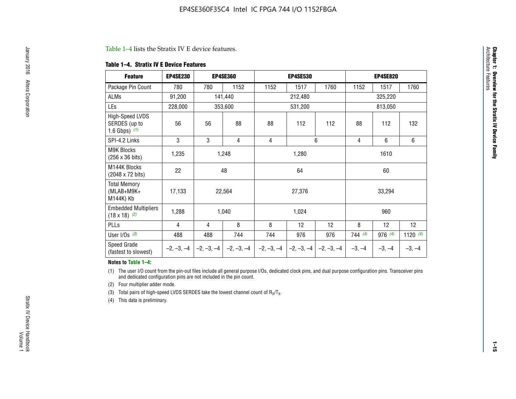#### Table 1–4 lists the Stratix IV E device features.

#### **Table 1–4. Stratix IV E Device Features**

| <b>Feature</b>                                      | <b>EP4SE230</b> |     | <b>EP4SE360</b>                          |              | <b>EP4SE530</b> |              |                | <b>EP4SE820</b> |                 |  |
|-----------------------------------------------------|-----------------|-----|------------------------------------------|--------------|-----------------|--------------|----------------|-----------------|-----------------|--|
| Package Pin Count                                   | 780             | 780 | 1152                                     | 1152         | 1517            | 1760         | 1152           | 1517            | 1760            |  |
| ALMs                                                | 91,200          |     | 141,440                                  |              | 212,480         |              |                | 325,220         |                 |  |
| LEs                                                 | 228,000         |     | 353,600                                  |              | 531,200         |              |                | 813,050         |                 |  |
| High-Speed LVDS<br>SERDES (up to<br>1.6 Gbps) $(1)$ | 56              | 56  | 88                                       | 88           | 112             | 112          | 88             | 112             | 132             |  |
| SPI-4.2 Links                                       | 3               | 3   | 4                                        | 4            |                 | 6            | $\overline{4}$ | 6               | 6               |  |
| M9K Blocks<br>(256 x 36 bits)                       | 1,235           |     | 1,248                                    |              | 1,280           |              |                | 1610            |                 |  |
| M144K Blocks<br>(2048 x 72 bits)                    | 22              |     | 48                                       |              | 64              |              | 60             |                 |                 |  |
| <b>Total Memory</b><br>(MLAB+M9K+<br>M144K) Kb      | 17,133          |     | 22,564                                   |              | 27,376          |              |                | 33,294          |                 |  |
| <b>Embedded Multipliers</b><br>$(18 \times 18)$ (2) | 1,288           |     | 1,040                                    |              | 1,024           |              |                | 960             |                 |  |
| PLLs                                                | 4               | 4   | 8                                        | 8            | 12              | 12           | 8              | 12              | 12 <sup>2</sup> |  |
| User I/Os $(3)$                                     | 488             | 488 | 744                                      | 744          | 976             | 976          | 744(4)         | 976 (4)         | 1120 $(4)$      |  |
| Speed Grade<br>(fastest to slowest)                 |                 |     | $-2, -3, -4$ $ -2, -3, -4$ $ -2, -3, -4$ | $-2, -3, -4$ | $-2, -3, -4$    | $-2, -3, -4$ | $-3, -4$       | $-3, -4$        | $-3, -4$        |  |

#### **Notes to Table 1–4:**

(1) The user I/O count from the pin-out files include all general purpose I/Os, dedicated clock pins, and dual purpose configuration pins. Transceiver pins and dedicated configuration pins are not included in the pin count.

(2) Four multiplier adder mode.

(3) Total pairs of high-speed LVDS SERDES take the lowest channel count of  $R_X/T_X$ .

(4) This data is preliminary.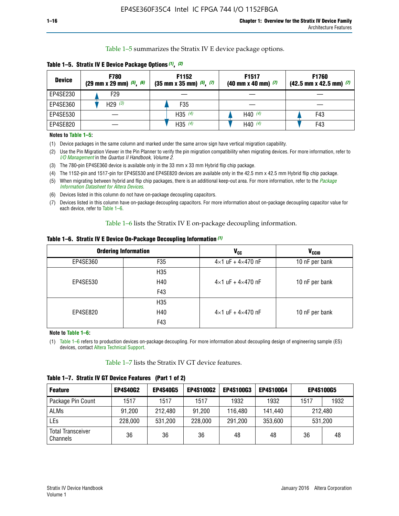Table 1–5 summarizes the Stratix IV E device package options.

| <b>Device</b> | <b>F780</b><br>$(29 \text{ mm} \times 29 \text{ mm})$ $(5)$ , $(6)$ | F1152<br>$(35 \text{ mm} \times 35 \text{ mm})$ $(5)$ , $(7)$ | F <sub>1517</sub><br>$(40 \text{ mm} \times 40 \text{ mm})$ (7) | <b>F1760</b><br>$(42.5$ mm x 42.5 mm) $(7)$ |  |  |
|---------------|---------------------------------------------------------------------|---------------------------------------------------------------|-----------------------------------------------------------------|---------------------------------------------|--|--|
| EP4SE230      | F29                                                                 |                                                               |                                                                 |                                             |  |  |
| EP4SE360      | H <sub>29</sub> $(3)$                                               | F35                                                           |                                                                 |                                             |  |  |
| EP4SE530      |                                                                     | $H35^{(4)}$                                                   | H40 $(4)$                                                       | F43                                         |  |  |
| EP4SE820      |                                                                     | H35 $(4)$                                                     | H40 $(4)$                                                       | F43                                         |  |  |

**Table 1–5. Stratix IV E Device Package Options** *(1)***,** *(2)*

#### **Notes to Table 1–5:**

(1) Device packages in the same column and marked under the same arrow sign have vertical migration capability.

(2) Use the Pin Migration Viewer in the Pin Planner to verify the pin migration compatibility when migrating devices. For more information, refer to *[I/O Management](http://www.altera.com/literature/hb/qts/qts_qii52013.pdf)* in the *Quartus II Handbook, Volume 2*.

(3) The 780-pin EP4SE360 device is available only in the 33 mm x 33 mm Hybrid flip chip package.

(4) The 1152-pin and 1517-pin for EP4SE530 and EP4SE820 devices are available only in the 42.5 mm x 42.5 mm Hybrid flip chip package.

(5) When migrating between hybrid and flip chip packages, there is an additional keep-out area. For more information, refer to the *[Package](http://www.altera.com/literature/ds/dspkg.pdf)  [Information Datasheet for Altera Devices](http://www.altera.com/literature/ds/dspkg.pdf)*.

(6) Devices listed in this column do not have on-package decoupling capacitors.

(7) Devices listed in this column have on-package decoupling capacitors. For more information about on-package decoupling capacitor value for each device, refer to Table 1–6.

Table 1–6 lists the Stratix IV E on-package decoupling information.

| Table 1–6. Stratix IV E Device On-Package Decoupling Information (1) |  |  |  |  |  |
|----------------------------------------------------------------------|--|--|--|--|--|
|----------------------------------------------------------------------|--|--|--|--|--|

|          | <b>Ordering Information</b> | <b>V<sub>cc</sub></b>               | <b>V<sub>CCIO</sub></b> |
|----------|-----------------------------|-------------------------------------|-------------------------|
| EP4SE360 | F <sub>35</sub>             | $4 \times 1$ uF + $4 \times 470$ nF | 10 nF per bank          |
|          | H <sub>35</sub>             |                                     |                         |
| EP4SE530 | H40                         | $4 \times 1$ uF + $4 \times 470$ nF | 10 nF per bank          |
|          | F43                         |                                     |                         |
|          | H <sub>35</sub>             |                                     |                         |
| EP4SE820 | H40                         | $4 \times 1$ uF + $4 \times 470$ nF | 10 nF per bank          |
|          | F43                         |                                     |                         |

**Note to Table 1–6:**

(1) Table 1–6 refers to production devices on-package decoupling. For more information about decoupling design of engineering sample (ES) devices, contact [Altera Technical Support](http://mysupport.altera.com/eservice/login.asp).

Table 1–7 lists the Stratix IV GT device features.

| <b>Feature</b>                       | <b>EP4S40G2</b> | <b>EP4S40G5</b> | <b>EP4S100G2</b> | <b>EP4S100G3</b> | <b>EP4S100G4</b> | <b>EP4S100G5</b> |         |
|--------------------------------------|-----------------|-----------------|------------------|------------------|------------------|------------------|---------|
| Package Pin Count                    | 1517            | 1517            | 1517             | 1932             | 1932             | 1517             | 1932    |
| <b>ALMs</b>                          | 91,200          | 212,480         | 91,200           | 116,480          | 141,440          | 212.480          |         |
| LEs                                  | 228,000         | 531,200         | 228,000          | 291,200          | 353,600          |                  | 531,200 |
| <b>Total Transceiver</b><br>Channels | 36              | 36              | 36               | 48               | 48               | 36               | 48      |

**Table 1–7. Stratix IV GT Device Features (Part 1 of 2)**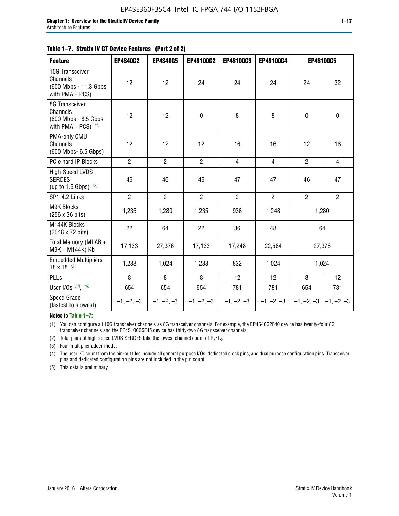#### **Table 1–7. Stratix IV GT Device Features (Part 2 of 2)**

| <b>Feature</b>                                                               | <b>EP4S40G2</b> | <b>EP4S40G5</b> | <b>EP4S100G2</b> | <b>EP4S100G3</b> | EP4S100G4      | <b>EP4S100G5</b>          |                |
|------------------------------------------------------------------------------|-----------------|-----------------|------------------|------------------|----------------|---------------------------|----------------|
| 10G Transceiver<br>Channels<br>(600 Mbps - 11.3 Gbps<br>with $PMA + PCS$ )   | 12              | 12              | 24               | 24               | 24             | 24                        | 32             |
| 8G Transceiver<br>Channels<br>(600 Mbps - 8.5 Gbps)<br>with PMA + PCS) $(1)$ | 12              | 12              | $\pmb{0}$        | 8                | 8              | $\mathbf 0$               | $\mathbf 0$    |
| PMA-only CMU<br>Channels<br>(600 Mbps- 6.5 Gbps)                             | 12              | 12              | 12               | 16               | 16             | 12                        | 16             |
| PCIe hard IP Blocks                                                          | $\overline{2}$  | $\overline{2}$  | $\overline{2}$   | $\overline{4}$   | $\overline{4}$ | $\overline{2}$            | $\overline{4}$ |
| <b>High-Speed LVDS</b><br><b>SERDES</b><br>(up to 1.6 Gbps) $(2)$            | 46              | 46              | 46               | 47               | 47             | 46                        | 47             |
| SP1-4.2 Links                                                                | $\overline{2}$  | $\overline{2}$  | $\overline{2}$   | $\overline{2}$   | $\overline{2}$ | $\overline{2}$            | $\overline{2}$ |
| <b>M9K Blocks</b><br>(256 x 36 bits)                                         | 1,235           | 1,280           | 1,235            | 936              | 1,248          |                           | 1,280          |
| M144K Blocks<br>(2048 x 72 bits)                                             | 22              | 64              | 22               | 36               | 48             |                           | 64             |
| Total Memory (MLAB +<br>M9K + M144K) Kb                                      | 17,133          | 27,376          | 17,133           | 17,248           | 22,564         |                           | 27,376         |
| <b>Embedded Multipliers</b><br>$18 \times 18^{(3)}$                          | 1,288           | 1,024           | 1,288            | 832              | 1,024          |                           | 1,024          |
| PLLs                                                                         | 8               | 8               | 8                | 12               | 12             | 8                         | 12             |
| User I/Os $(4)$ , $(5)$                                                      | 654             | 654             | 654              | 781              | 781            | 654                       | 781            |
| Speed Grade<br>(fastest to slowest)                                          | $-1, -2, -3$    | $-1, -2, -3$    | $-1, -2, -3$     | $-1, -2, -3$     | $-1, -2, -3$   | $-1, -2, -3$ $-1, -2, -3$ |                |

**Notes to Table 1–7:**

(1) You can configure all 10G transceiver channels as 8G transceiver channels. For example, the EP4S40G2F40 device has twenty-four 8G transceiver channels and the EP4S100G5F45 device has thirty-two 8G transceiver channels.

(2) Total pairs of high-speed LVDS SERDES take the lowest channel count of  $R_X/T_X$ .

(3) Four multiplier adder mode.

(4) The user I/O count from the pin-out files include all general purpose I/Os, dedicated clock pins, and dual purpose configuration pins. Transceiver pins and dedicated configuration pins are not included in the pin count.

(5) This data is preliminary.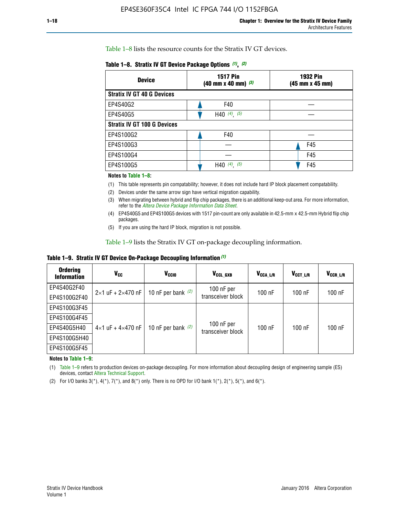Table 1–8 lists the resource counts for the Stratix IV GT devices.

| <b>Device</b>                      | <b>1517 Pin</b><br>$(40 \text{ mm} \times 40 \text{ mm})$ (3) | <b>1932 Pin</b><br>(45 mm x 45 mm) |  |
|------------------------------------|---------------------------------------------------------------|------------------------------------|--|
| <b>Stratix IV GT 40 G Devices</b>  |                                                               |                                    |  |
| EP4S40G2                           | F40                                                           |                                    |  |
| EP4S40G5                           | H40 $(4)$ , $(5)$                                             |                                    |  |
| <b>Stratix IV GT 100 G Devices</b> |                                                               |                                    |  |
| EP4S100G2                          | F40                                                           |                                    |  |
| EP4S100G3                          |                                                               | F45                                |  |
| EP4S100G4                          |                                                               | F45                                |  |
| EP4S100G5                          | H40 $(4)$ $(5)$                                               | F45                                |  |

#### **Notes to Table 1–8:**

(1) This table represents pin compatability; however, it does not include hard IP block placement compatability.

- (2) Devices under the same arrow sign have vertical migration capability.
- (3) When migrating between hybrid and flip chip packages, there is an additional keep-out area. For more information, refer to the *[Altera Device Package Information Data Sheet](http://www.altera.com/literature/ds/dspkg.pdf)*.
- (4) EP4S40G5 and EP4S100G5 devices with 1517 pin-count are only available in 42.5-mm x 42.5-mm Hybrid flip chip packages.
- (5) If you are using the hard IP block, migration is not possible.

Table 1–9 lists the Stratix IV GT on-package decoupling information.

**Table 1–9. Stratix IV GT Device On-Package Decoupling Information** *(1)*

| <b>Ordering</b><br><b>Information</b> | Vcc                                 | <b>V<sub>CCIO</sub></b> | V <sub>CCL GXB</sub>            | V <sub>CCA L/R</sub> | V <sub>CCT L/R</sub> | $V_{CCR\_L/R}$ |
|---------------------------------------|-------------------------------------|-------------------------|---------------------------------|----------------------|----------------------|----------------|
| EP4S40G2F40                           | $2 \times 1$ uF + $2 \times 470$ nF | 10 nF per bank $(2)$    | 100 nF per<br>transceiver block | $100$ nF             | $100$ nF             | 100 nF         |
| EP4S100G2F40                          |                                     |                         |                                 |                      |                      |                |
| EP4S100G3F45                          |                                     | 10 nF per bank $(2)$    | 100 nF per<br>transceiver block | $100$ nF             | $100$ nF             | $100$ nF       |
| EP4S100G4F45                          |                                     |                         |                                 |                      |                      |                |
| EP4S40G5H40                           | $4\times1$ uF + $4\times470$ nF     |                         |                                 |                      |                      |                |
| EP4S100G5H40                          |                                     |                         |                                 |                      |                      |                |
| EP4S100G5F45                          |                                     |                         |                                 |                      |                      |                |

**Notes to Table 1–9:**

(1) Table 1–9 refers to production devices on-package decoupling. For more information about decoupling design of engineering sample (ES) devices, contact [Altera Technical Support](http://mysupport.altera.com/eservice/login.asp).

(2) For I/O banks  $3(*)$ ,  $4(*)$ ,  $7(*)$ , and  $8(*)$  only. There is no OPD for I/O bank  $1(*)$ ,  $2(*)$ ,  $5(*)$ , and  $6(*)$ .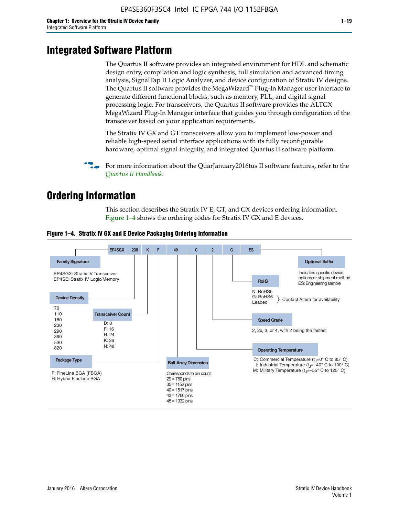# **Integrated Software Platform**

The Quartus II software provides an integrated environment for HDL and schematic design entry, compilation and logic synthesis, full simulation and advanced timing analysis, SignalTap II Logic Analyzer, and device configuration of Stratix IV designs. The Quartus II software provides the MegaWizard<sup> $M$ </sup> Plug-In Manager user interface to generate different functional blocks, such as memory, PLL, and digital signal processing logic. For transceivers, the Quartus II software provides the ALTGX MegaWizard Plug-In Manager interface that guides you through configuration of the transceiver based on your application requirements.

The Stratix IV GX and GT transceivers allow you to implement low-power and reliable high-speed serial interface applications with its fully reconfigurable hardware, optimal signal integrity, and integrated Quartus II software platform.

For more information about the QuarJanuary2016tus II software features, refer to the *[Quartus II Handbook](http://www.altera.com/literature/lit-qts.jsp)*.

# **Ordering Information**

This section describes the Stratix IV E, GT, and GX devices ordering information. Figure 1–4 shows the ordering codes for Stratix IV GX and E devices.



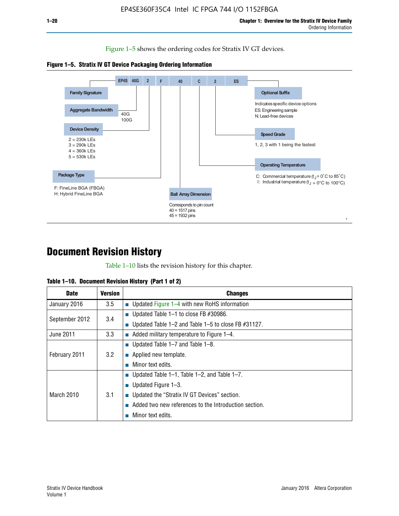Figure 1–5 shows the ordering codes for Stratix IV GT devices.





# **Document Revision History**

Table 1–10 lists the revision history for this chapter.

| Table 1–10. Document Revision History (Part 1 of 2) |  |  |  |  |  |
|-----------------------------------------------------|--|--|--|--|--|
|-----------------------------------------------------|--|--|--|--|--|

| <b>Date</b>       | <b>Version</b> | <b>Changes</b>                                              |
|-------------------|----------------|-------------------------------------------------------------|
| January 2016      | 3.5            | ■ Updated Figure 1–4 with new RoHS information              |
| September 2012    | 3.4            | ■ Updated Table 1–1 to close FB $#30986$ .                  |
|                   |                | Updated Table $1-2$ and Table $1-5$ to close FB $\#31127$ . |
| June 2011         | 3.3            | $\blacksquare$ Added military temperature to Figure 1–4.    |
| February 2011     | 3.2            | ■ Updated Table 1–7 and Table 1–8.                          |
|                   |                | $\blacksquare$ Applied new template.                        |
|                   |                | Minor text edits.                                           |
| <b>March 2010</b> |                | <b>Updated Table 1–1, Table 1–2, and Table 1–7.</b>         |
|                   | 3.1            | <b>U</b> Updated Figure 1–3.                                |
|                   |                | ■ Updated the "Stratix IV GT Devices" section.              |
|                   |                | Added two new references to the Introduction section.       |
|                   |                | Minor text edits.                                           |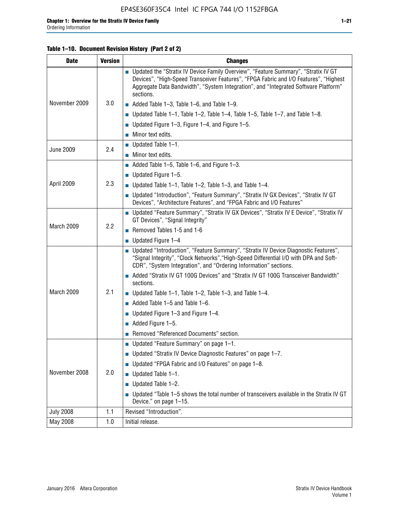#### **Table 1–10. Document Revision History (Part 2 of 2)**

| <b>Date</b>      | <b>Version</b> | <b>Changes</b>                                                                                                                                                                                                                                                                    |  |  |
|------------------|----------------|-----------------------------------------------------------------------------------------------------------------------------------------------------------------------------------------------------------------------------------------------------------------------------------|--|--|
|                  |                | ■ Updated the "Stratix IV Device Family Overview", "Feature Summary", "Stratix IV GT<br>Devices", "High-Speed Transceiver Features", "FPGA Fabric and I/O Features", "Highest<br>Aggregate Data Bandwidth", "System Integration", and "Integrated Software Platform"<br>sections. |  |  |
| November 2009    | 3.0            | $\blacksquare$ Added Table 1-3, Table 1-6, and Table 1-9.                                                                                                                                                                                                                         |  |  |
|                  |                | $\blacksquare$ Updated Table 1-1, Table 1-2, Table 1-4, Table 1-5, Table 1-7, and Table 1-8.                                                                                                                                                                                      |  |  |
|                  |                | ■ Updated Figure 1–3, Figure 1–4, and Figure 1–5.                                                                                                                                                                                                                                 |  |  |
|                  |                | $\blacksquare$ Minor text edits.                                                                                                                                                                                                                                                  |  |  |
| <b>June 2009</b> |                | $\blacksquare$ Updated Table 1-1.                                                                                                                                                                                                                                                 |  |  |
|                  | 2.4            | Minor text edits.                                                                                                                                                                                                                                                                 |  |  |
|                  |                | $\blacksquare$ Added Table 1–5, Table 1–6, and Figure 1–3.                                                                                                                                                                                                                        |  |  |
|                  |                | <b>Updated Figure 1-5.</b>                                                                                                                                                                                                                                                        |  |  |
| April 2009       | 2.3            | Updated Table $1-1$ , Table $1-2$ , Table $1-3$ , and Table $1-4$ .                                                                                                                                                                                                               |  |  |
|                  |                | ■ Updated "Introduction", "Feature Summary", "Stratix IV GX Devices", "Stratix IV GT<br>Devices", "Architecture Features", and "FPGA Fabric and I/O Features"                                                                                                                     |  |  |
|                  | 2.2            | ■ Updated "Feature Summary", "Stratix IV GX Devices", "Stratix IV E Device", "Stratix IV<br>GT Devices", "Signal Integrity"                                                                                                                                                       |  |  |
| March 2009       |                | Removed Tables 1-5 and 1-6                                                                                                                                                                                                                                                        |  |  |
|                  |                | $\blacksquare$ Updated Figure 1-4                                                                                                                                                                                                                                                 |  |  |
|                  |                | ■ Updated "Introduction", "Feature Summary", "Stratix IV Device Diagnostic Features",<br>"Signal Integrity", "Clock Networks", "High-Speed Differential I/O with DPA and Soft-<br>CDR", "System Integration", and "Ordering Information" sections.                                |  |  |
|                  |                | Added "Stratix IV GT 100G Devices" and "Stratix IV GT 100G Transceiver Bandwidth"<br>sections.                                                                                                                                                                                    |  |  |
| March 2009       | 2.1            | ■ Updated Table 1–1, Table 1–2, Table 1–3, and Table 1–4.                                                                                                                                                                                                                         |  |  |
|                  |                | $\blacksquare$ Added Table 1–5 and Table 1–6.                                                                                                                                                                                                                                     |  |  |
|                  |                | ■ Updated Figure 1–3 and Figure 1–4.                                                                                                                                                                                                                                              |  |  |
|                  |                | $\blacksquare$ Added Figure 1-5.                                                                                                                                                                                                                                                  |  |  |
|                  |                | Removed "Referenced Documents" section.                                                                                                                                                                                                                                           |  |  |
|                  |                | ■ Updated "Feature Summary" on page 1-1.                                                                                                                                                                                                                                          |  |  |
| November 2008    |                | ■ Updated "Stratix IV Device Diagnostic Features" on page 1-7.                                                                                                                                                                                                                    |  |  |
|                  | 2.0            | Updated "FPGA Fabric and I/O Features" on page 1-8.                                                                                                                                                                                                                               |  |  |
|                  |                | $\blacksquare$ Updated Table 1-1.                                                                                                                                                                                                                                                 |  |  |
|                  |                | Updated Table 1-2.                                                                                                                                                                                                                                                                |  |  |
|                  |                | Updated "Table 1-5 shows the total number of transceivers available in the Stratix IV GT<br>Device." on page 1-15.                                                                                                                                                                |  |  |
| <b>July 2008</b> | 1.1            | Revised "Introduction".                                                                                                                                                                                                                                                           |  |  |
| May 2008         | 1.0            | Initial release.                                                                                                                                                                                                                                                                  |  |  |